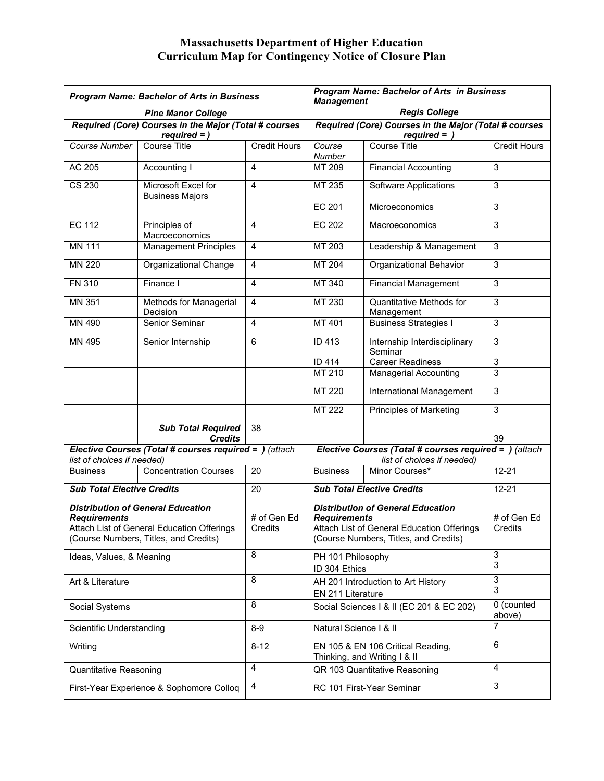## **Massachusetts Department of Higher Education Curriculum Map for Contingency Notice of Closure Plan**

| <b>Program Name: Bachelor of Arts in Business</b>                                                                                                      |                                                                         |                        | <b>Program Name: Bachelor of Arts in Business</b><br><b>Management</b>                                                                                 |                                               |                        |
|--------------------------------------------------------------------------------------------------------------------------------------------------------|-------------------------------------------------------------------------|------------------------|--------------------------------------------------------------------------------------------------------------------------------------------------------|-----------------------------------------------|------------------------|
| <b>Pine Manor College</b>                                                                                                                              |                                                                         |                        | <b>Regis College</b>                                                                                                                                   |                                               |                        |
|                                                                                                                                                        | Required (Core) Courses in the Major (Total # courses<br>$required =$ ) |                        | Required (Core) Courses in the Major (Total # courses<br>$required = )$                                                                                |                                               |                        |
| Course Number                                                                                                                                          | <b>Course Title</b>                                                     | <b>Credit Hours</b>    | Course<br>Number                                                                                                                                       | Course Title                                  | <b>Credit Hours</b>    |
| AC 205                                                                                                                                                 | Accounting I                                                            | 4                      | MT 209                                                                                                                                                 | <b>Financial Accounting</b>                   | 3                      |
| CS 230                                                                                                                                                 | Microsoft Excel for<br><b>Business Majors</b>                           | 4                      | MT 235                                                                                                                                                 | <b>Software Applications</b>                  | 3                      |
|                                                                                                                                                        |                                                                         |                        | EC 201                                                                                                                                                 | Microeconomics                                | 3                      |
| <b>EC 112</b>                                                                                                                                          | Principles of<br>Macroeconomics                                         | 4                      | <b>EC 202</b>                                                                                                                                          | Macroeconomics                                | 3                      |
| <b>MN 111</b>                                                                                                                                          | <b>Management Principles</b>                                            | 4                      | MT 203                                                                                                                                                 | Leadership & Management                       | $\mathsf 3$            |
| MN 220                                                                                                                                                 | Organizational Change                                                   | $\overline{4}$         | MT 204                                                                                                                                                 | Organizational Behavior                       | 3                      |
| <b>FN 310</b>                                                                                                                                          | Finance I                                                               | 4                      | MT 340                                                                                                                                                 | <b>Financial Management</b>                   | 3                      |
| MN 351                                                                                                                                                 | Methods for Managerial<br>Decision                                      | $\overline{4}$         | MT 230                                                                                                                                                 | <b>Quantitative Methods for</b><br>Management | 3                      |
| MN 490                                                                                                                                                 | Senior Seminar                                                          | $\overline{4}$         | MT 401                                                                                                                                                 | <b>Business Strategies I</b>                  | 3                      |
| MN 495                                                                                                                                                 | Senior Internship                                                       | 6                      | ID 413                                                                                                                                                 | Internship Interdisciplinary<br>Seminar       | 3                      |
|                                                                                                                                                        |                                                                         |                        | ID 414                                                                                                                                                 | <b>Career Readiness</b>                       | 3                      |
|                                                                                                                                                        |                                                                         |                        | MT 210                                                                                                                                                 | Managerial Accounting                         | 3                      |
|                                                                                                                                                        |                                                                         |                        | MT 220                                                                                                                                                 | International Management                      | 3                      |
|                                                                                                                                                        |                                                                         |                        | MT 222                                                                                                                                                 | <b>Principles of Marketing</b>                | 3                      |
|                                                                                                                                                        | <b>Sub Total Required</b><br><b>Credits</b>                             | 38                     |                                                                                                                                                        |                                               | 39                     |
| Elective Courses (Total # courses required = ) (attach<br>list of choices if needed)                                                                   |                                                                         |                        | Elective Courses (Total # courses required = ) (attach<br>list of choices if needed)                                                                   |                                               |                        |
| <b>Business</b>                                                                                                                                        | <b>Concentration Courses</b>                                            | 20                     | <b>Business</b>                                                                                                                                        | Minor Courses*                                | $12 - 21$              |
| <b>Sub Total Elective Credits</b>                                                                                                                      |                                                                         | 20                     | <b>Sub Total Elective Credits</b>                                                                                                                      |                                               | $12 - 21$              |
| <b>Distribution of General Education</b><br><b>Requirements</b><br>Attach List of General Education Offerings<br>(Course Numbers, Titles, and Credits) |                                                                         | # of Gen Ed<br>Credits | <b>Distribution of General Education</b><br><b>Requirements</b><br>Attach List of General Education Offerings<br>(Course Numbers, Titles, and Credits) |                                               | # of Gen Ed<br>Credits |
| Ideas, Values, & Meaning                                                                                                                               |                                                                         | 8                      | PH 101 Philosophy<br>ID 304 Ethics                                                                                                                     |                                               | 3<br>3                 |
| Art & Literature                                                                                                                                       |                                                                         | 8                      | AH 201 Introduction to Art History<br>EN 211 Literature                                                                                                |                                               | 3<br>3                 |
| Social Systems                                                                                                                                         |                                                                         | 8                      | Social Sciences   & II (EC 201 & EC 202)                                                                                                               |                                               | 0 (counted<br>above)   |
| Scientific Understanding                                                                                                                               |                                                                         | $8-9$                  | Natural Science   & II                                                                                                                                 |                                               | $\overline{7}$         |
| Writing                                                                                                                                                |                                                                         | $8 - 12$               | EN 105 & EN 106 Critical Reading,<br>Thinking, and Writing I & II                                                                                      |                                               | 6                      |
| Quantitative Reasoning                                                                                                                                 |                                                                         | 4                      | QR 103 Quantitative Reasoning                                                                                                                          |                                               | 4                      |
| First-Year Experience & Sophomore Colloq                                                                                                               |                                                                         | 4                      | RC 101 First-Year Seminar                                                                                                                              |                                               | 3                      |